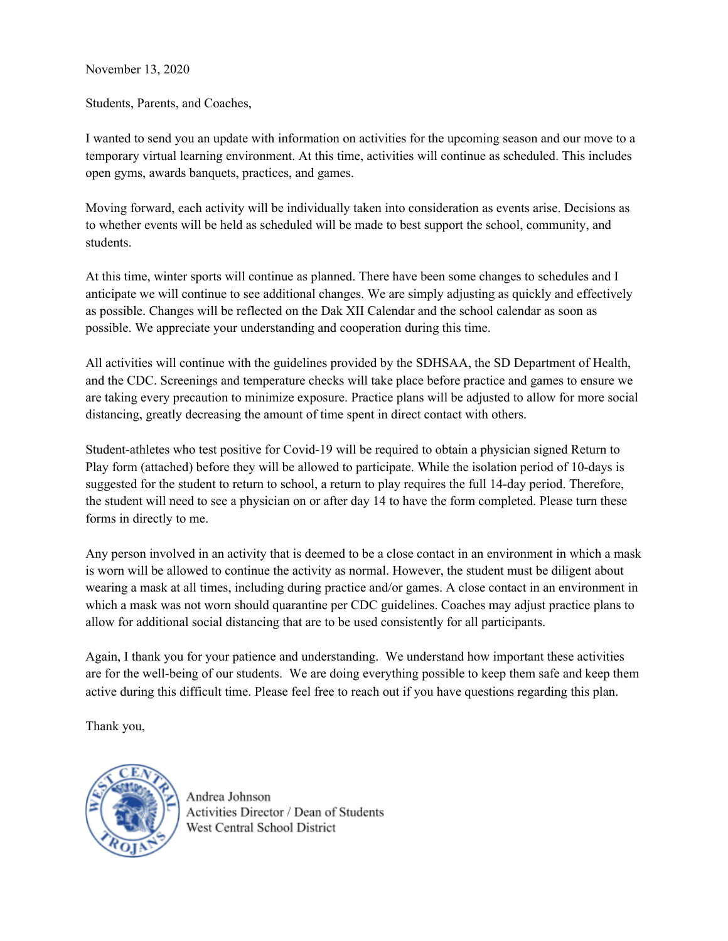## November 13, 2020

Students, Parents, and Coaches,

I wanted to send you an update with information on activities for the upcoming season and our move to a temporary virtual learning environment. At this time, activities will continue as scheduled. This includes open gyms, awards banquets, practices, and games.

Moving forward, each activity will be individually taken into consideration as events arise. Decisions as to whether events will be held as scheduled will be made to best support the school, community, and students.

At this time, winter sports will continue as planned. There have been some changes to schedules and I anticipate we will continue to see additional changes. We are simply adjusting as quickly and effectively as possible. Changes will be reflected on the Dak XII Calendar and the school calendar as soon as possible. We appreciate your understanding and cooperation during this time.

All activities will continue with the guidelines provided by the SDHSAA, the SD Department of Health, and the CDC. Screenings and temperature checks will take place before practice and games to ensure we are taking every precaution to minimize exposure. Practice plans will be adjusted to allow for more social distancing, greatly decreasing the amount of time spent in direct contact with others.

Student-athletes who test positive for Covid-19 will be required to obtain a physician signed Return to Play form (attached) before they will be allowed to participate. While the isolation period of 10-days is suggested for the student to return to school, a return to play requires the full 14-day period. Therefore, the student will need to see a physician on or after day 14 to have the form completed. Please turn these forms in directly to me.

Any person involved in an activity that is deemed to be a close contact in an environment in which a mask is worn will be allowed to continue the activity as normal. However, the student must be diligent about wearing a mask at all times, including during practice and/or games. A close contact in an environment in which a mask was not worn should quarantine per CDC guidelines. Coaches may adjust practice plans to allow for additional social distancing that are to be used consistently for all participants.

Again, I thank you for your patience and understanding. We understand how important these activities are for the well-being of our students. We are doing everything possible to keep them safe and keep them active during this difficult time. Please feel free to reach out if you have questions regarding this plan.

Thank you,



Andrea Johnson Activities Director / Dean of Students West Central School District